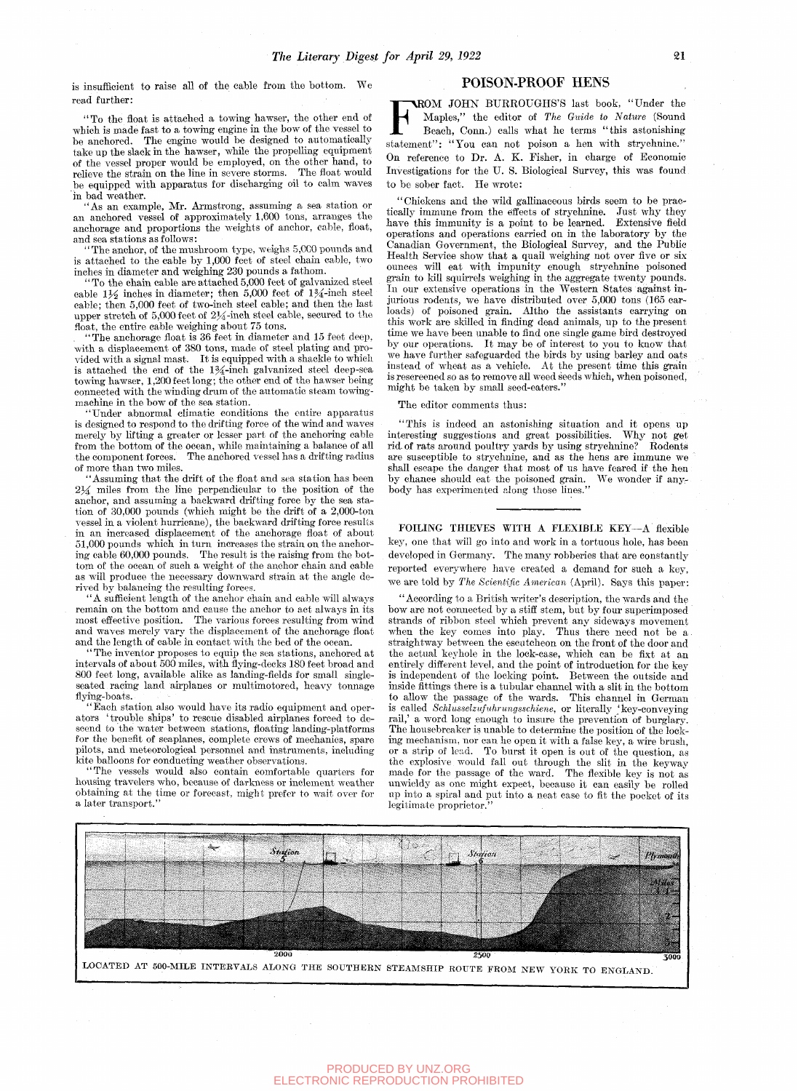is insufficient to raise all of the cable from the bottom. We read further:

"To the float is attached a towing hawser, the other end of which is made fast to a towing engine in the bow of the vessel to be anchored. The engine would be designed to automatically take up the slack in the hawser, while the propelling equipment of the vessel proper would be employed, on the other hand, to relieve the strain on the line in severe storms. The float would relieve the strain on the line in severe storms. be equipped with apparatus for discharging oil to calm waves in bad weather.

"As an example, Mr. Armstrong, assuming a sea station or an anchored vessel of approximately 1,600 tons, arranges the anchorage and proportions the weights of anchor, cable, float, and sea stations as follows:

"The anchor, of the mushroom type, weighs 5,0C0 pounds and is attached to the cable by  $1,000$  feet of steel chain cable, two inches in diameter and weighing 230 pounds a fathom.

"To the chain cable are attached 5,000 feet of galvanized steel cable  $1\frac{1}{2}$  inches in diameter; then 5,000 feet of  $1\frac{3}{4}$ -inch steel cable; then 5,000 feet of two-inch steel cable; and then the last upper stretch of 5,000 feet of  $2\frac{1}{4}$ -inch steel cable, secured to the float, the entire cable weighing about 75 tons.

"The anchorage float is 36 feet in diameter and 15 feet deep, with a displacement of 380 tons, made of steel plating and provided with a signal mast. It is equipped with a shackle to whioh is attached the end of the  $1\frac{3}{4}$ -inch galvanized steel deep-sea towing hawser, 1,200 feet long; the other end of the hawser being connected with the winding drum of the automatic steam towingmachine in the bow of the sea station.

Under abnormal climatic conditions the entire apparatus is designed to respond to the drifting force of the wind and waves merely by lifting a greater or lesser part of the anchoring cable from the bottom of the ocean, while maintaining a balance of all the component forces. The anchored vessel has a drifting radius of more than two miles.

"Assuming that the drift of the float and sea station has been 234 rniles from the line perpendicular to the position of the anchor, and assuming a backward drifting force by the sea station of 30,000 pounds (whioh might be the drift of a 2,000-ton vessel in a violent hurricane), the backward drifting force results in an increased displacement of the anchorage float of about 51,000 pounds which in turn increases the strain on the anchoring cable 60,000 pounds. The result is the raising from the bottom of the ocean of such a weight of the anchor chain and cable as will produce the necessary downward strain at the angle derived by balancing the resulting forces.

'A sufficient length of the anchor chain and cable will always remain on the bottom and cause the anchor to act always in its most effective position. The various forces resulting from wind and waves merely vary the displacement of the anchorage float and the length of cable in contact with the bed of the ocean.

The inventor proposes to equip the sea stations, anchored at intervals of about 500 miles, with flying-decks 180 feet broad and 800 feet long, available alike as landing-fields for small singleseated racing land airplanes or multimotored, heavy tonnage flying-boats.

"Each station also would have its radio equipment and operators 'trouble ships' to rescue disabled airplanes forced to descend to the water between stations, floating landing-platforms for the benefit of seaplanes, complete crews of mechanics, spare pilots, and meteorological personnel and instruments, including kite balloons for conducting weather observations.

The vessels would also contain comfortable quarters for housing travelers who, because of darkness or inclement weather obtaining at the time or forecast, might prefer to wait over tor a later transport."

## POISON-PROOF HENS

FOISON-PROOF HEAS<br>
ROM JOHN BURROUGHS'S last book, "Under the<br>
Maples," the editor of *The Guide to Nature* (Sound<br>
Beach, Conn.) calls what he terms "this astonishing<br>
statement": "You can not poison a hen with strychnine OM JOHN BURROUGHS'S last book, "Under the Maples," the editor of *The Guide to Nature* (Sound Beach, Conn.) calls what he terms "this astonishing On reference to Dr. A. K. Fisher, in charge of Economic Investigations for the U. S. Biological Survey, this was found to be sober fact. He wrote:

"Chickens and the wild gallinaceous birds seem to be practically immune from the effects of strychnine. Just why they have this immunity is a point to be learned. Extensive field operations and operations carried on in the laboratory by the Canadian Government, the Biological Survey, and the Public Health Service show that a quail weighing' not over five or six ounces will eat with impunity enough strychnine poisoned grain to kill squirrels weighing in the aggregate twenty pounds. In our extensive operations in the Western States against injurious rodents, we have distributed over 5,000 tons (165 carloads) of poisoned grain. Altho the assistants carrying on this work are skilled in finding dead animals, up to the present time we have been unable to find one single game bird destroyed by our operations. It may be of interest to you to know that we have further safeguarded the birds by using barley and oats instead of wheat as a vehicle. At the present time this grain is resoreened so as to remove all weed seeds which, when poisoned, might be taken by small seed-eaters."

The editor comments thus:

"This is indeed an astonishing situation and it opens up interesting suggestions and great possibilities. rid. of rats around poultry yards by using strychnine? Rodents are susceptible to strychnine, and as the hens are immune we shall escape the danger that most of us have feared if the hen by chance should eat the poisoned grain. We wonder if anybody has experimented along those lines."

FOILING THIEVES WITH A FLEXIBLE KEY—A flexible key, one that will go into and work in a tortuous hole, has been developed in Germany. The many robberies that are constantly reported everywhere have created a demand for such a key, we are told by *The Scientific American* (April). Says this paper:

"According to a British writer's description, the wards and the bow are not connected by a stiff stem, but by four superimposed strands of ribbon steel which prevent any sideways movement when the key comes into play. Thus there need not be a straightway between the escutcheon on the front of the door and the actual keyhole in the lock-case, which can be fixt at an entirely different level, and the point of introduction for the key is independent of the looking point. Between the outside and inside fittings there is a tubular channel with a slit in the bottom to allow the passage of the wards. This channel in German is called *Schlusaelzufuhrungsschiene,* or literally 'key-conveying rail,' a word long enough to insure the prevention of burglary. The housebreaker is unable to determine the position of the locking mechanism, nor can he open it with a false key, a wire brush, or a strip of lead. To burst it open is out of the question, as the explosive would fall out through the slit in the keyway made for the passage of the ward. The flexible key is not as unwieldy as one might expect, because it can easily be rolled up into a spiral and put into a neat ease to flt the pocket of its legitimate proprietor.